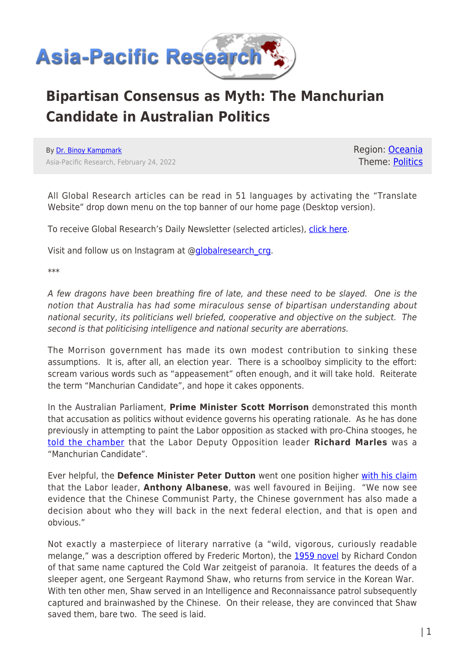

## **Bipartisan Consensus as Myth: The Manchurian Candidate in Australian Politics**

By [Dr. Binoy Kampmark](https://www.asia-pacificresearch.com/author/binoy-kampmark) Asia-Pacific Research, February 24, 2022 Region: [Oceania](https://www.asia-pacificresearch.com/region/as-oceania) Theme: [Politics](https://www.asia-pacificresearch.com/theme/politics)

All Global Research articles can be read in 51 languages by activating the "Translate Website" drop down menu on the top banner of our home page (Desktop version).

To receive Global Research's Daily Newsletter (selected articles), [click here.](https://lp.constantcontactpages.com/su/IJiNQuW?EMAIL=&go.x=0&go.y=0&go=GO)

Visit and follow us on Instagram at @[globalresearch\\_crg.](https://www.instagram.com/globalresearch_crg/)

\*\*\*

A few dragons have been breathing fire of late, and these need to be slayed. One is the notion that Australia has had some miraculous sense of bipartisan understanding about national security, its politicians well briefed, cooperative and objective on the subject. The second is that politicising intelligence and national security are aberrations.

The Morrison government has made its own modest contribution to sinking these assumptions. It is, after all, an election year. There is a schoolboy simplicity to the effort: scream various words such as "appeasement" often enough, and it will take hold. Reiterate the term "Manchurian Candidate", and hope it cakes opponents.

In the Australian Parliament, **Prime Minister Scott Morrison** demonstrated this month that accusation as politics without evidence governs his operating rationale. As he has done previously in attempting to paint the Labor opposition as stacked with pro-China stooges, he [told the chamber](https://www.theguardian.com/australia-news/video/2022/feb/17/scott-morrison-brands-labor-mp-a-manchurian-candidate-video) that the Labor Deputy Opposition leader **Richard Marles** was a "Manchurian Candidate".

Ever helpful, the **Defence Minister Peter Dutton** went one position higher [with his claim](https://www.afr.com/politics/federal/government-steps-up-attacks-on-labor-over-china-20220210-p59vam) that the Labor leader, **Anthony Albanese**, was well favoured in Beijing. "We now see evidence that the Chinese Communist Party, the Chinese government has also made a decision about who they will back in the next federal election, and that is open and obvious."

Not exactly a masterpiece of literary narrative (a "wild, vigorous, curiously readable melange," was a description offered by Frederic Morton), the [1959 novel](https://www.thriftbooks.com/w/the-manchurian-candidate_richard-condon/290899/#edition=3318753&idiq=735044) by Richard Condon of that same name captured the Cold War zeitgeist of paranoia. It features the deeds of a sleeper agent, one Sergeant Raymond Shaw, who returns from service in the Korean War. With ten other men, Shaw served in an Intelligence and Reconnaissance patrol subsequently captured and brainwashed by the Chinese. On their release, they are convinced that Shaw saved them, bare two. The seed is laid.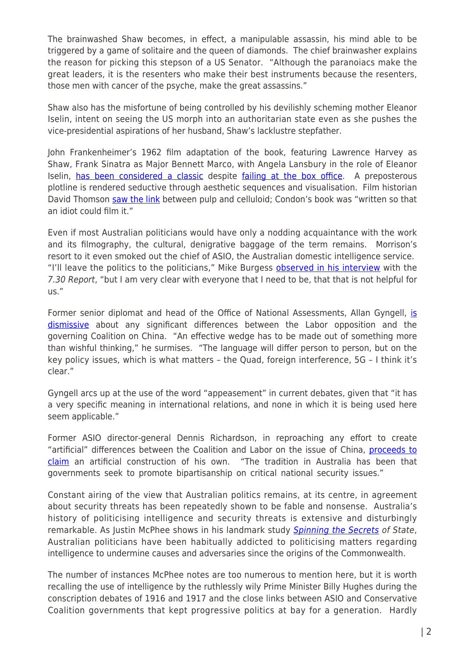The brainwashed Shaw becomes, in effect, a manipulable assassin, his mind able to be triggered by a game of solitaire and the queen of diamonds. The chief brainwasher explains the reason for picking this stepson of a US Senator. "Although the paranoiacs make the great leaders, it is the resenters who make their best instruments because the resenters, those men with cancer of the psyche, make the great assassins."

Shaw also has the misfortune of being controlled by his devilishly scheming mother Eleanor Iselin, intent on seeing the US morph into an authoritarian state even as she pushes the vice-presidential aspirations of her husband, Shaw's lacklustre stepfather.

John Frankenheimer's 1962 film adaptation of the book, featuring Lawrence Harvey as Shaw, Frank Sinatra as Major Bennett Marco, with Angela Lansbury in the role of Eleanor Iselin, [has been considered a classic](https://www.theguardian.com/culture/2022/feb/11/the-manchurian-candidate-one-of-cinemas-greatest-paranoid-thrillers-still-resonates) despite [failing at the box office.](https://www.newyorker.com/magazine/2003/09/15/brainwashed) A preposterous plotline is rendered seductive through aesthetic sequences and visualisation. Film historian David Thomson [saw the link](https://www.newyorker.com/magazine/2003/09/15/brainwashed) between pulp and celluloid; Condon's book was "written so that an idiot could film it."

Even if most Australian politicians would have only a nodding acquaintance with the work and its filmography, the cultural, denigrative baggage of the term remains. Morrison's resort to it even smoked out the chief of ASIO, the Australian domestic intelligence service. "I'll leave the politics to the politicians," Mike Burgess [observed in his interview](https://www.abc.net.au/7.30/mike-burgess,-director-general-at-asio-speaks-on/13757788) with the 7.30 Report, "but I am very clear with everyone that I need to be, that that is not helpful for us."

Former senior diplomat and head of the Office of National Assessments, Allan Gyngell, [is](https://www.smh.com.au/politics/federal/former-diplomats-spy-chiefs-warn-against-politicising-china-debate-20220216-p59wy6.html) [dismissive](https://www.smh.com.au/politics/federal/former-diplomats-spy-chiefs-warn-against-politicising-china-debate-20220216-p59wy6.html) about any significant differences between the Labor opposition and the governing Coalition on China. "An effective wedge has to be made out of something more than wishful thinking," he surmises. "The language will differ person to person, but on the key policy issues, which is what matters – the Quad, foreign interference, 5G – I think it's clear."

Gyngell arcs up at the use of the word "appeasement" in current debates, given that "it has a very specific meaning in international relations, and none in which it is being used here seem applicable."

Former ASIO director-general Dennis Richardson, in reproaching any effort to create "artificial" differences between the Coalition and Labor on the issue of China, [proceeds to](https://www.smh.com.au/politics/federal/former-diplomats-spy-chiefs-warn-against-politicising-china-debate-20220216-p59wy6.html) [claim](https://www.smh.com.au/politics/federal/former-diplomats-spy-chiefs-warn-against-politicising-china-debate-20220216-p59wy6.html) an artificial construction of his own. "The tradition in Australia has been that governments seek to promote bipartisanship on critical national security issues."

Constant airing of the view that Australian politics remains, at its centre, in agreement about security threats has been repeatedly shown to be fable and nonsense. Australia's history of politicising intelligence and security threats is extensive and disturbingly remarkable. As Justin McPhee shows in his landmark study **[Spinning the Secrets](https://blackwells.co.uk/bookshop/product/Spinning-the-Secrets-of-State-by-Justin-T-McPhee-author/9781925523652)** of State, Australian politicians have been habitually addicted to politicising matters regarding intelligence to undermine causes and adversaries since the origins of the Commonwealth.

The number of instances McPhee notes are too numerous to mention here, but it is worth recalling the use of intelligence by the ruthlessly wily Prime Minister Billy Hughes during the conscription debates of 1916 and 1917 and the close links between ASIO and Conservative Coalition governments that kept progressive politics at bay for a generation. Hardly